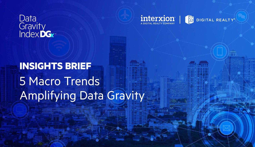### **Data Gravity** Index**DG***x* ™



# **INSIGHTS BRIEF** 5 Macro Trends Amplifying Data Gravity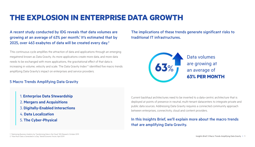### **THE EXPLOSION IN ENTERPRISE DATA GROWTH**

A recent study conducted by IDG reveals that data volumes are growing at an average of 63% per month.<sup>1</sup> It's estimated that by 2025, over 463 exabytes of data will be created every day.2

This continuous cycle amplifies the attraction of data and applications through an emerging megatrend known as Data Gravity. As more applications create more data, and more data needs to be exchanged with more applications, the gravitational effect of that data is increasing in volume, velocity and scale. The Data Gravity Index™ identified five macro trends amplifying Data Gravity's impact on enterprises and service providers.

#### 5 Macro Trends Amplifying Data Gravity

- 1. **Enterprise Data Stewardship**
- 2. **Mergers and Acquisitions**
- 3. **Digitally-Enabled Interactions**
- 4. **Data Localization**
- 5. **The Cyber-Physical**

The implications of these trends generate significant risks to traditional IT infrastructures.



Current backhaul architectures need to be inverted to a data-centric architecture that is deployed at points of presence in neutral, multi-tenant datacenters to integrate private and public data sources. Addressing Data Gravity requires a connected community approach between enterprises, connectivity, cloud and content providers.

#### In this Insights Brief, we'll explain more about the macro trends that are amplifying Data Gravity.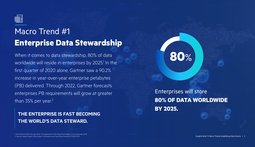

### Macro Trend #1 **Enterprise Data Stewardship**

When it comes to data stewardship, 80% of data worldwide will reside in enterprises by 2025.<sup>1</sup> In the first quarter of 2020 alone, Gartner saw a 90.2% increase in year-over-year enterprise petabytes (PB) delivered. Through 2022, Gartner forecasts enterprises PB requirements will grow at greater than  $35\%$  per year.<sup>2</sup>

### **THE ENTERPRISE IS FAST BECOMING THE WORLD'S DATA STEWARD.**

### Enterprises will store **80% OF DATA WORLDWIDE BY 2025.**

**80**%

1. IDC #US44413318, Data Age 2025, The Digitization of the World From Edge to Core, November 2018 of the Cartner, Market Impact: New Surges in Enterprise and Cloud Data Demand, ID G00727551 Insights Brief: 5 Macro Trends Amplifying Data Gravity I 2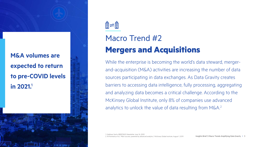**M&A volumes are expected to return to pre-COVID levels in 2021.**<sup>1</sup>

## 

## Macro Trend #2 **Mergers and Acquisitions**

While the enterprise is becoming the world's data steward, mergerand-acquisition (M&A) activities are increasing the number of data sources participating in data exchanges. As Data Gravity creates barriers to accessing data intelligence, fully processing, aggregating and analyzing data becomes a critical challenge. According to the McKinsey Global Institute, only 8% of companies use advanced analytics to unlock the value of data resulting from M&A.<sup>2</sup>

1. Goldman Sachs, BRIEFINGS Newsletter June 16, 2020 2. Ali Korotana, et al., "M&A success, powered by advanced analytics," McKinsey Global Institute, August 1, 2019 Insights Brief: 5 Macro Trends Amplifying Data Gravity I 3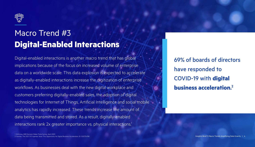

## Macro Trend #3 **Digital-Enabled Interactions**

Digital-enabled interactions is another macro trend that has global implications because of the focus on increased volume of enterprise data on a worldwide scale. This data explosion is expected to accelerate as digitally-enabled interactions increase the digitization of enterprise workflows. As businesses deal with the new digital workplace and customers preferring digitally-enabled sales, the adoption of digital technologies for Internet of Things, Artificial Intelligence and social mobile analytics has rapidly increased. These trends increase the amount of data being transmitted and stored. As a result, digitally-enabled interactions rank 2x greater importance vs. physical interactions.<sup>1</sup>

69% of boards of directors have responded to COVID-19 with **digital business acceleration. 2**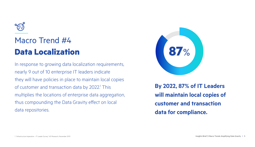

## Macro Trend #4 **Data Localization**

In response to growing data localization requirements, nearly 9 out of 10 enterprise IT leaders indicate they will have policies in place to maintain local copies of customer and transaction data by 2022.<sup>1</sup> This multiplies the locations of enterprise data aggregation, thus compounding the Data Gravity effect on local data repositories.



**By 2022, 87% of IT Leaders will maintain local copies of customer and transaction data for compliance.**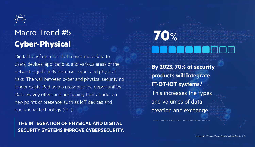

## Macro Trend #5 **Cyber-Physical**

Digital transformation that moves more data to users, devices, applications, and various areas of the network significantly increases cyber and physical risks. The wall between cyber and physical security no longer exists. Bad actors recognize the opportunities Data Gravity offers and are honing their attacks on new points of presence, such as IoT devices and operational technology (OT).

**THE INTEGRATION OF PHYSICAL AND DIGITAL SECURITY SYSTEMS IMPROVE CYBERSECURITY.** **By 2023, 70% of security products will integrate IT-OT-IOT systems.1** This increases the types and volumes of data creation and exchange.

**70**%

1. Gartner, Emerging Technology Analysis- Cyber-Physical Security. ID: G00726994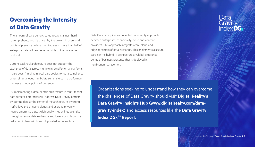### **Overcoming the Intensity of Data Gravity**

The amount of data being created today is almost hard to comprehend, and it's driven by the growth in users and points of presence. In less than two years, more than half of enterprise data will be created outside of the datacenter or cloud.<sup>1</sup>

Current backhaul architecture does not support the exchange of data across multiple internal/external platforms. It also doesn't maintain local data copies for data compliance or run simultaneous multi-data set analytics in a performant manner at global points of presence.

By implementing a data-centric architecture in multi-tenant data centers, enterprises will address Data Gravity barriers by putting data at the center of the architecture, inverting traffic flow, and bringing clouds and users to privately hosted enterprise data. Additionally, they will reduce risks through a secure data exchange and lower costs through a reduction in bandwidth and duplicated infrastructure.

Data Gravity requires a connected community approach between enterprises, connectivity, cloud and content providers. This approach integrates core, cloud and edge at centers of data exchange. This implements a secure, data-centric hybrid IT architecture at Global Enterprise points of business presence that is deployed in multi-tenant datacenters.

Organizations seeking to understand how they can overcome the challenges of Data Gravity should visit **[Digital Reality's](http://www.digitalrealty.com/data-gravity-index)  [Data Gravity Insights Hub](http://www.digitalrealty.com/data-gravity-index) (www.digitalrealty.com/datagravity-index)** and access resources like the **[Data Gravity](https://go2.digitalrealty.com/rs/087-YZJ-646/images/Report_Digital_Realty_2009Data_Gravity_Index_Report.pdf)  [Index DGx](https://go2.digitalrealty.com/rs/087-YZJ-646/images/Report_Digital_Realty_2009Data_Gravity_Index_Report.pdf)<sup>™</sup> Report.** 

#### Data **Gravity** Index**DG***x* ™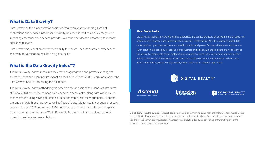#### **What is Data Gravity?**

Data Gravity, or the propensity for bodies of data to draw an expanding swath of applications and services into closer proximity, has been identified as a key megatrend impacting enterprises and service providers over the next decade, according to recently published research.

Data Gravity may affect an enterprise's ability to innovate, secure customer experiences, and even deliver financial results on a global scale.

#### **What is the Data Gravity Index™?**

The Data Gravity Index™ measures the creation, aggregation and private exchange of enterprise data and examines its impact on the Forbes Global 2000. Learn more about the Data Gravity Index by [accessing the full report.](https://go2.digitalrealty.com/rs/087-YZJ-646/images/Report_Digital_Realty_2009Data_Gravity_Index_Report.pdf?_ga=2.74589275.898743991.1603146237-508935259.1590096344)

The Data Gravity Index methodology is based on the analysis of thousands of attributes of Global 2000 enterprise companies' presences in each metro, along with variables for each metro, including GDP, population, number of employees, technographics, IT spend, average bandwidth and latency, as well as flows of data. Digital Realty conducted research between August 2019 and August 2020 and drew upon more than a dozen third-party data sources, ranging from the World Economic Forum and United Nations to global consulting and market research firms.

#### **About Digital Realty**

Digital Realty supports the world's leading enterprises and service providers by delivering the full spectrum of data center, colocation and interconnection solutions. PlatformDIGITAL®, the company's global data center platform, provides customers a trusted foundation and proven Pervasive Datacenter Architecture PDx<sup>™</sup> solution methodology for scaling digital business and efficiently managing data gravity challenges. Digital Realty's global data center footprint gives customers access to the connected communities that matter to them with 280+ facilities in 45+ metros across 20+ countries on 6 continents. To learn more about Digital Realty, please visit [digitalrealty.com](https://www.digitalrealty.com/) or follow us on [LinkedIn](https://www.linkedin.com/company/digitalrealty/) and [Twitter.](https://twitter.com/digitalrealty)



Digital Realty Trust, Inc. owns or licenses all copyright rights in all content, including, without limitation, all text, images, videos, and graphics in this document, to the full extent provided under the copyright laws of the United States and other countries. You are prohibited from copying, reproducing, modifying, distributing, displaying, performing, or transmitting any of the content in this document for any purposes